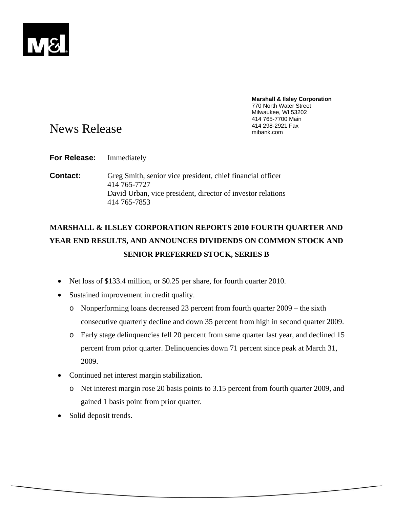

**Marshall & Ilsley Corporation**  770 North Water Street Milwaukee, WI 53202 414 765-7700 Main

# News Release and the state of the state of the Mews Release and the state of the state mibank.com mibank.com and  $\frac{414\,298-2921\text{ Fax}}{m\text{lbank.com}}$

**For Release:** Immediately

**Contact:** Greg Smith, senior vice president, chief financial officer 414 765-7727 David Urban, vice president, director of investor relations 414 765-7853

# **MARSHALL & ILSLEY CORPORATION REPORTS 2010 FOURTH QUARTER AND YEAR END RESULTS, AND ANNOUNCES DIVIDENDS ON COMMON STOCK AND SENIOR PREFERRED STOCK, SERIES B**

- Net loss of \$133.4 million, or \$0.25 per share, for fourth quarter 2010.
- Sustained improvement in credit quality.
	- o Nonperforming loans decreased 23 percent from fourth quarter 2009 the sixth consecutive quarterly decline and down 35 percent from high in second quarter 2009.
	- o Early stage delinquencies fell 20 percent from same quarter last year, and declined 15 percent from prior quarter. Delinquencies down 71 percent since peak at March 31, 2009.
- Continued net interest margin stabilization.
	- o Net interest margin rose 20 basis points to 3.15 percent from fourth quarter 2009, and gained 1 basis point from prior quarter.
- Solid deposit trends.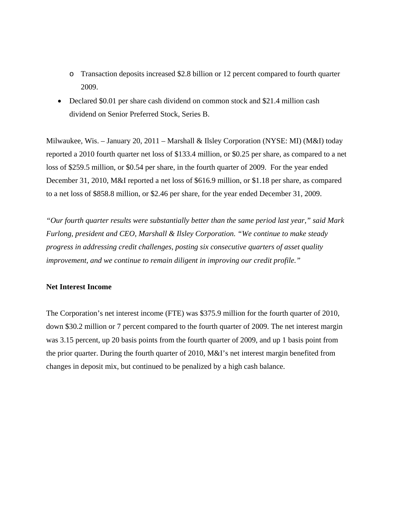- o Transaction deposits increased \$2.8 billion or 12 percent compared to fourth quarter 2009.
- Declared \$0.01 per share cash dividend on common stock and \$21.4 million cash dividend on Senior Preferred Stock, Series B.

Milwaukee, Wis. – January 20, 2011 – Marshall & Ilsley Corporation (NYSE: MI) (M&I) today reported a 2010 fourth quarter net loss of \$133.4 million, or \$0.25 per share, as compared to a net loss of \$259.5 million, or \$0.54 per share, in the fourth quarter of 2009. For the year ended December 31, 2010, M&I reported a net loss of \$616.9 million, or \$1.18 per share, as compared to a net loss of \$858.8 million, or \$2.46 per share, for the year ended December 31, 2009.

*"Our fourth quarter results were substantially better than the same period last year," said Mark Furlong, president and CEO, Marshall & Ilsley Corporation. "We continue to make steady progress in addressing credit challenges, posting six consecutive quarters of asset quality improvement, and we continue to remain diligent in improving our credit profile."* 

## **Net Interest Income**

The Corporation's net interest income (FTE) was \$375.9 million for the fourth quarter of 2010, down \$30.2 million or 7 percent compared to the fourth quarter of 2009. The net interest margin was 3.15 percent, up 20 basis points from the fourth quarter of 2009, and up 1 basis point from the prior quarter. During the fourth quarter of 2010, M&I's net interest margin benefited from changes in deposit mix, but continued to be penalized by a high cash balance.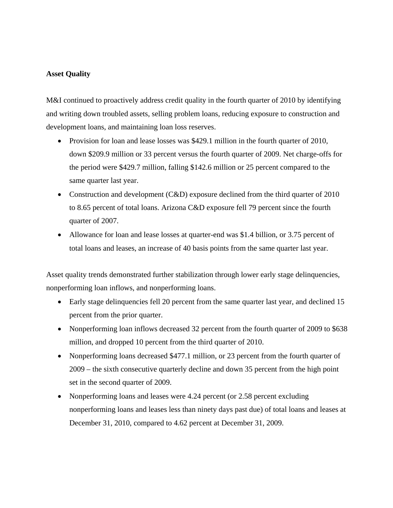# **Asset Quality**

M&I continued to proactively address credit quality in the fourth quarter of 2010 by identifying and writing down troubled assets, selling problem loans, reducing exposure to construction and development loans, and maintaining loan loss reserves.

- Provision for loan and lease losses was \$429.1 million in the fourth quarter of 2010, down \$209.9 million or 33 percent versus the fourth quarter of 2009. Net charge-offs for the period were \$429.7 million, falling \$142.6 million or 25 percent compared to the same quarter last year.
- Construction and development (C&D) exposure declined from the third quarter of 2010 to 8.65 percent of total loans. Arizona C&D exposure fell 79 percent since the fourth quarter of 2007.
- Allowance for loan and lease losses at quarter-end was \$1.4 billion, or 3.75 percent of total loans and leases, an increase of 40 basis points from the same quarter last year.

Asset quality trends demonstrated further stabilization through lower early stage delinquencies, nonperforming loan inflows, and nonperforming loans.

- Early stage delinquencies fell 20 percent from the same quarter last year, and declined 15 percent from the prior quarter.
- Nonperforming loan inflows decreased 32 percent from the fourth quarter of 2009 to \$638 million, and dropped 10 percent from the third quarter of 2010.
- Nonperforming loans decreased \$477.1 million, or 23 percent from the fourth quarter of 2009 – the sixth consecutive quarterly decline and down 35 percent from the high point set in the second quarter of 2009.
- Nonperforming loans and leases were 4.24 percent (or 2.58 percent excluding nonperforming loans and leases less than ninety days past due) of total loans and leases at December 31, 2010, compared to 4.62 percent at December 31, 2009.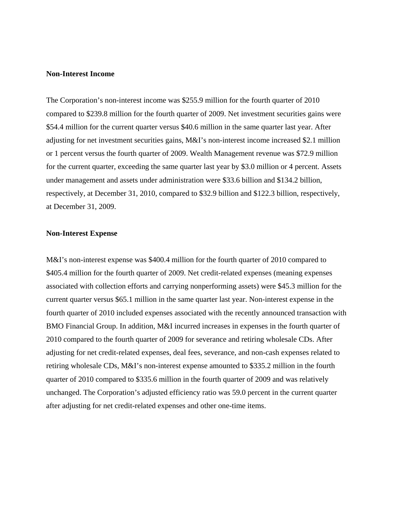## **Non-Interest Income**

The Corporation's non-interest income was \$255.9 million for the fourth quarter of 2010 compared to \$239.8 million for the fourth quarter of 2009. Net investment securities gains were \$54.4 million for the current quarter versus \$40.6 million in the same quarter last year. After adjusting for net investment securities gains, M&I's non-interest income increased \$2.1 million or 1 percent versus the fourth quarter of 2009. Wealth Management revenue was \$72.9 million for the current quarter, exceeding the same quarter last year by \$3.0 million or 4 percent. Assets under management and assets under administration were \$33.6 billion and \$134.2 billion, respectively, at December 31, 2010, compared to \$32.9 billion and \$122.3 billion, respectively, at December 31, 2009.

## **Non-Interest Expense**

M&I's non-interest expense was \$400.4 million for the fourth quarter of 2010 compared to \$405.4 million for the fourth quarter of 2009. Net credit-related expenses (meaning expenses associated with collection efforts and carrying nonperforming assets) were \$45.3 million for the current quarter versus \$65.1 million in the same quarter last year. Non-interest expense in the fourth quarter of 2010 included expenses associated with the recently announced transaction with BMO Financial Group. In addition, M&I incurred increases in expenses in the fourth quarter of 2010 compared to the fourth quarter of 2009 for severance and retiring wholesale CDs. After adjusting for net credit-related expenses, deal fees, severance, and non-cash expenses related to retiring wholesale CDs, M&I's non-interest expense amounted to \$335.2 million in the fourth quarter of 2010 compared to \$335.6 million in the fourth quarter of 2009 and was relatively unchanged. The Corporation's adjusted efficiency ratio was 59.0 percent in the current quarter after adjusting for net credit-related expenses and other one-time items.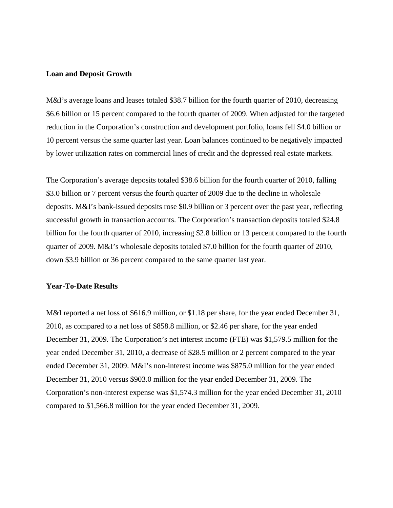## **Loan and Deposit Growth**

M&I's average loans and leases totaled \$38.7 billion for the fourth quarter of 2010, decreasing \$6.6 billion or 15 percent compared to the fourth quarter of 2009. When adjusted for the targeted reduction in the Corporation's construction and development portfolio, loans fell \$4.0 billion or 10 percent versus the same quarter last year. Loan balances continued to be negatively impacted by lower utilization rates on commercial lines of credit and the depressed real estate markets.

The Corporation's average deposits totaled \$38.6 billion for the fourth quarter of 2010, falling \$3.0 billion or 7 percent versus the fourth quarter of 2009 due to the decline in wholesale deposits. M&I's bank-issued deposits rose \$0.9 billion or 3 percent over the past year, reflecting successful growth in transaction accounts. The Corporation's transaction deposits totaled \$24.8 billion for the fourth quarter of 2010, increasing \$2.8 billion or 13 percent compared to the fourth quarter of 2009. M&I's wholesale deposits totaled \$7.0 billion for the fourth quarter of 2010, down \$3.9 billion or 36 percent compared to the same quarter last year.

#### **Year-To-Date Results**

M&I reported a net loss of \$616.9 million, or \$1.18 per share, for the year ended December 31, 2010, as compared to a net loss of \$858.8 million, or \$2.46 per share, for the year ended December 31, 2009. The Corporation's net interest income (FTE) was \$1,579.5 million for the year ended December 31, 2010, a decrease of \$28.5 million or 2 percent compared to the year ended December 31, 2009. M&I's non-interest income was \$875.0 million for the year ended December 31, 2010 versus \$903.0 million for the year ended December 31, 2009. The Corporation's non-interest expense was \$1,574.3 million for the year ended December 31, 2010 compared to \$1,566.8 million for the year ended December 31, 2009.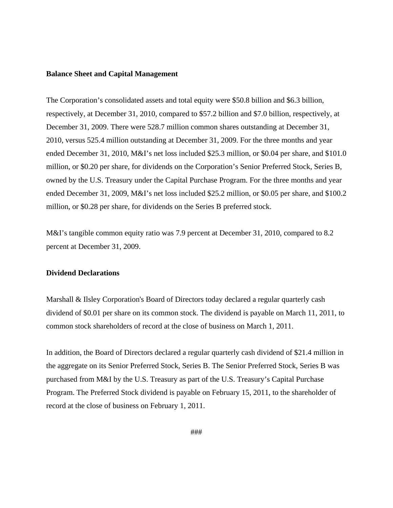### **Balance Sheet and Capital Management**

The Corporation's consolidated assets and total equity were \$50.8 billion and \$6.3 billion, respectively, at December 31, 2010, compared to \$57.2 billion and \$7.0 billion, respectively, at December 31, 2009. There were 528.7 million common shares outstanding at December 31, 2010, versus 525.4 million outstanding at December 31, 2009. For the three months and year ended December 31, 2010, M&I's net loss included \$25.3 million, or \$0.04 per share, and \$101.0 million, or \$0.20 per share, for dividends on the Corporation's Senior Preferred Stock, Series B, owned by the U.S. Treasury under the Capital Purchase Program. For the three months and year ended December 31, 2009, M&I's net loss included \$25.2 million, or \$0.05 per share, and \$100.2 million, or \$0.28 per share, for dividends on the Series B preferred stock.

M&I's tangible common equity ratio was 7.9 percent at December 31, 2010, compared to 8.2 percent at December 31, 2009.

### **Dividend Declarations**

Marshall & Ilsley Corporation's Board of Directors today declared a regular quarterly cash dividend of \$0.01 per share on its common stock. The dividend is payable on March 11, 2011, to common stock shareholders of record at the close of business on March 1, 2011.

In addition, the Board of Directors declared a regular quarterly cash dividend of \$21.4 million in the aggregate on its Senior Preferred Stock, Series B. The Senior Preferred Stock, Series B was purchased from M&I by the U.S. Treasury as part of the U.S. Treasury's Capital Purchase Program. The Preferred Stock dividend is payable on February 15, 2011, to the shareholder of record at the close of business on February 1, 2011.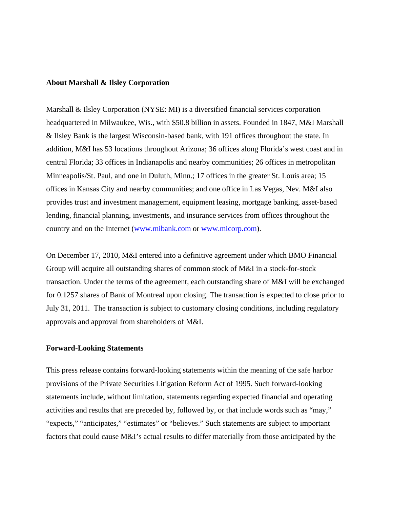#### **About Marshall & Ilsley Corporation**

Marshall & Ilsley Corporation (NYSE: MI) is a diversified financial services corporation headquartered in Milwaukee, Wis., with \$50.8 billion in assets. Founded in 1847, M&I Marshall & Ilsley Bank is the largest Wisconsin-based bank, with 191 offices throughout the state. In addition, M&I has 53 locations throughout Arizona; 36 offices along Florida's west coast and in central Florida; 33 offices in Indianapolis and nearby communities; 26 offices in metropolitan Minneapolis/St. Paul, and one in Duluth, Minn.; 17 offices in the greater St. Louis area; 15 offices in Kansas City and nearby communities; and one office in Las Vegas, Nev. M&I also provides trust and investment management, equipment leasing, mortgage banking, asset-based lending, financial planning, investments, and insurance services from offices throughout the country and on the Internet (www.mibank.com or www.micorp.com).

On December 17, 2010, M&I entered into a definitive agreement under which BMO Financial Group will acquire all outstanding shares of common stock of M&I in a stock-for-stock transaction. Under the terms of the agreement, each outstanding share of M&I will be exchanged for 0.1257 shares of Bank of Montreal upon closing. The transaction is expected to close prior to July 31, 2011. The transaction is subject to customary closing conditions, including regulatory approvals and approval from shareholders of M&I.

#### **Forward-Looking Statements**

This press release contains forward-looking statements within the meaning of the safe harbor provisions of the Private Securities Litigation Reform Act of 1995. Such forward-looking statements include, without limitation, statements regarding expected financial and operating activities and results that are preceded by, followed by, or that include words such as "may," "expects," "anticipates," "estimates" or "believes." Such statements are subject to important factors that could cause M&I's actual results to differ materially from those anticipated by the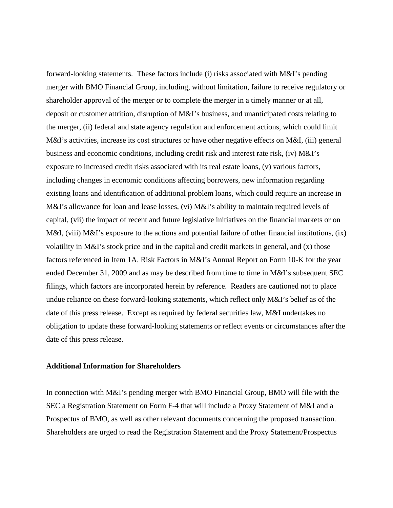forward-looking statements. These factors include (i) risks associated with M&I's pending merger with BMO Financial Group, including, without limitation, failure to receive regulatory or shareholder approval of the merger or to complete the merger in a timely manner or at all, deposit or customer attrition, disruption of M&I's business, and unanticipated costs relating to the merger, (ii) federal and state agency regulation and enforcement actions, which could limit M&I's activities, increase its cost structures or have other negative effects on M&I, (iii) general business and economic conditions, including credit risk and interest rate risk, (iv) M&I's exposure to increased credit risks associated with its real estate loans, (v) various factors, including changes in economic conditions affecting borrowers, new information regarding existing loans and identification of additional problem loans, which could require an increase in M&I's allowance for loan and lease losses, (vi) M&I's ability to maintain required levels of capital, (vii) the impact of recent and future legislative initiatives on the financial markets or on M&I, (viii) M&I's exposure to the actions and potential failure of other financial institutions, (ix) volatility in M&I's stock price and in the capital and credit markets in general, and (x) those factors referenced in Item 1A. Risk Factors in M&I's Annual Report on Form 10-K for the year ended December 31, 2009 and as may be described from time to time in M&I's subsequent SEC filings, which factors are incorporated herein by reference. Readers are cautioned not to place undue reliance on these forward-looking statements, which reflect only M&I's belief as of the date of this press release. Except as required by federal securities law, M&I undertakes no obligation to update these forward-looking statements or reflect events or circumstances after the date of this press release.

## **Additional Information for Shareholders**

In connection with M&I's pending merger with BMO Financial Group, BMO will file with the SEC a Registration Statement on Form F-4 that will include a Proxy Statement of M&I and a Prospectus of BMO, as well as other relevant documents concerning the proposed transaction. Shareholders are urged to read the Registration Statement and the Proxy Statement/Prospectus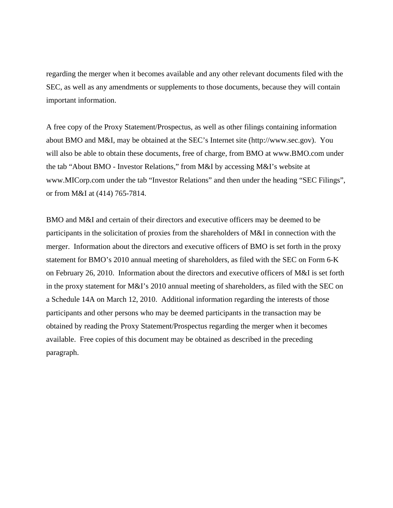regarding the merger when it becomes available and any other relevant documents filed with the SEC, as well as any amendments or supplements to those documents, because they will contain important information.

A free copy of the Proxy Statement/Prospectus, as well as other filings containing information about BMO and M&I, may be obtained at the SEC's Internet site (http://www.sec.gov). You will also be able to obtain these documents, free of charge, from BMO at www.BMO.com under the tab "About BMO - Investor Relations," from M&I by accessing M&I's website at www.MICorp.com under the tab "Investor Relations" and then under the heading "SEC Filings", or from M&I at (414) 765-7814.

BMO and M&I and certain of their directors and executive officers may be deemed to be participants in the solicitation of proxies from the shareholders of M&I in connection with the merger. Information about the directors and executive officers of BMO is set forth in the proxy statement for BMO's 2010 annual meeting of shareholders, as filed with the SEC on Form 6-K on February 26, 2010. Information about the directors and executive officers of M&I is set forth in the proxy statement for M&I's 2010 annual meeting of shareholders, as filed with the SEC on a Schedule 14A on March 12, 2010. Additional information regarding the interests of those participants and other persons who may be deemed participants in the transaction may be obtained by reading the Proxy Statement/Prospectus regarding the merger when it becomes available. Free copies of this document may be obtained as described in the preceding paragraph.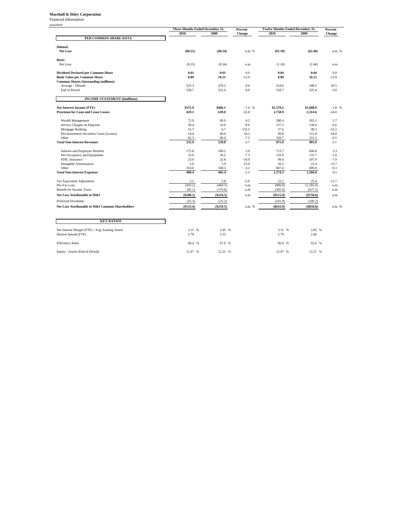#### **Marshall & Ilsley Corporation**

Financial Information

|                                                  | Three Months Ended December 31, |                | Percent          | <b>Twelve Months Ended December 31,</b> |                      | Percent       |
|--------------------------------------------------|---------------------------------|----------------|------------------|-----------------------------------------|----------------------|---------------|
|                                                  | 2010                            | 2009           | Change           | 2010                                    | 2009                 | Change        |
| PER COMMON SHARE DATA                            |                                 |                |                  |                                         |                      |               |
| Diluted:                                         |                                 |                |                  |                                         |                      |               |
| <b>Net Loss</b>                                  | (\$0.25)                        | (\$0.54)       | n.m. %           | (\$1.18)                                | $(\$2.46)$           | n.m. %        |
| <b>Basic:</b>                                    |                                 |                |                  |                                         |                      |               |
| Net Loss                                         | (0.25)                          | (0.54)         | n.m.             | (1.18)                                  | (2.46)               | n.m.          |
| <b>Dividend Declared per Common Share</b>        | 0.01                            | 0.01           | 0.0              | 0.04                                    | 0.04                 | 0.0           |
| <b>Book Value per Common Share</b>               | 8.89                            | 10.21          | $-12.9$          | 8.89                                    | 10.21                | $-12.9$       |
| <b>Common Shares Outstanding (millions):</b>     |                                 |                |                  |                                         |                      |               |
| Average - Diluted                                | 525.3                           | 479.3          | 9.6              | 524.6                                   | 348.5                | 50.5          |
| <b>End of Period</b>                             | 528.7                           | 525.4          | 0.6              | 528.7                                   | 525.4                | 0.6           |
| <b>INCOME STATEMENT (\$millions)</b>             |                                 |                |                  |                                         |                      |               |
| Net Interest Income (FTE)                        | \$375.9                         | \$406.1        | $-7.4%$          | \$1,579.5                               | \$1,608.0            | $-1.8$ %      |
| <b>Provision for Loan and Lease Losses</b>       | 429.1                           | 639.0          | $-32.8$          | 1,758.9                                 | 2,314.6              | $-24.0$       |
| Wealth Management                                | 72.9                            | 69.9           | 4.2              | 280.4                                   | 265.1                | 5.7           |
| Service Charges on Deposits                      | 30.4                            | 33.6           | $-9.6$           | 127.5                                   | 136.6                | $-6.6$        |
| Mortgage Banking                                 | 15.7                            | 6.7            | 133.5            | 37.6                                    | 48.3                 | $-22.2$       |
| Net Investment Securities Gains (Losses)         | 54.4                            | 40.6           | 34.2             | 99.8                                    | 121.8                | $-18.0$       |
| Other                                            | 82.5                            | 89.0           | $-7.3$           | 329.7                                   | 331.2                | $-0.5$        |
| <b>Total Non-Interest Revenues</b>               | 255.9                           | 239.8          | 6.7              | 875.0                                   | 903.0                | $-3.1$        |
| Salaries and Employee Benefits                   | 175.8                           | 169.2          | 3.9              | 713.7                                   | 690.8                | 3.3           |
| Net Occupancy and Equipment                      | 33.6                            | 36.2           | $-7.3$           | 133.6                                   | 135.7                | $-1.6$        |
| FDIC Insurance                                   | 23.0                            | 25.8           | $-10.9$          | 99.4                                    | 107.9                | $-7.9$        |
| <b>Intangible Amortization</b>                   | 5.0                             | 5.9            | $-15.0$          | 20.2                                    | 23.4                 | $-13.7$       |
| Other<br><b>Total Non-Interest Expenses</b>      | 163.0<br>400.4                  | 168.3<br>405.4 | $-3.2$<br>$-1.3$ | 607.4<br>1,574.3                        | 609.0<br>1,566.8     | $-0.3$<br>0.5 |
|                                                  |                                 |                |                  |                                         |                      |               |
| Tax Equivalent Adjustment<br>Pre-Tax Loss        | 5.5                             | 5.8<br>(404.3) | $-5.0$           | 22.2<br>(900.9)                         | 25.4                 | $-12.7$       |
| <b>Benefit for Income Taxes</b>                  | (203.2)<br>(95.1)               | (170.0)        | n.m.<br>n.m.     | (385.0)                                 | (1,395.8)<br>(637.2) | n.m.<br>n.m.  |
| Net Loss Attributable to M&I                     | (\$108.1)                       | $(\$234.3)$    | n.m.             | (\$515.9)                               | $(\$758.6)$          | n.m.          |
| Preferred Dividends                              | (25.3)                          | (25.2)         |                  | (101.0)                                 | (100.2)              |               |
| Net Loss Attributable to M&I Common Shareholders | (\$133.4)                       | (\$259.5)      | n.m. %           | (\$616.9)                               | (\$858.8)            | n.m. %        |
|                                                  |                                 |                |                  |                                         |                      |               |
| <b>KEY RATIOS</b>                                |                                 |                |                  |                                         |                      |               |
| Net Interest Margin (FTE) / Avg. Earning Assets  | 3.15 %                          | 2.95 %         |                  | 3.15 %                                  | 2.85 %               |               |
| Interest Spread (FTE)                            | 2.79                            | 2.55           |                  | 2.79                                    | 2.46                 |               |
| <b>Efficiency Ratio</b>                          | 69.4 %                          | 67.0 %         |                  | 66.9 %                                  | 65.6 %               |               |
|                                                  |                                 |                |                  |                                         |                      |               |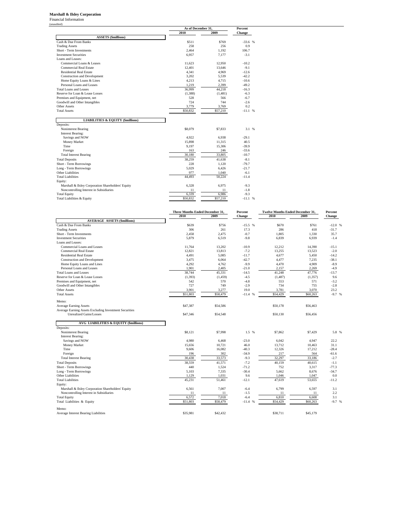#### **Marshall & Ilsley Corporation**

Financial Information (unaudited)

|                                                    | As of December 31. | Percent  |           |  |
|----------------------------------------------------|--------------------|----------|-----------|--|
|                                                    | 2010               | 2009     | Change    |  |
| <b>ASSETS</b> (\$millions)                         |                    |          |           |  |
| Cash & Due From Banks                              | \$511              | \$769    | $-33.6%$  |  |
| <b>Trading Assets</b>                              | 258                | 256      | 0.9       |  |
| Short - Term Investments                           | 2.464              | 1.192    | 106.7     |  |
| <b>Investment Securities</b>                       | 6.957              | 7.177    | $-3.1$    |  |
| Loans and Leases:                                  |                    |          |           |  |
| Commercial Loans & Leases                          | 11.623             | 12.950   | $-10.2$   |  |
| <b>Commercial Real Estate</b>                      | 12.401             | 13.646   | $-9.1$    |  |
| <b>Residential Real Estate</b>                     | 4,341              | 4,969    | $-12.6$   |  |
| <b>Construction and Development</b>                | 3,202              | 5,539    | $-42.2$   |  |
| Home Equity Loans & Lines                          | 4,213              | 4,715    | $-10.6$   |  |
| Personal Loans and Leases                          | 1,219              | 2,399    | $-49.2$   |  |
| Total Loans and Leases                             | 36.999             | 44.218   | $-16.3$   |  |
| Reserve for Loan & Lease Losses                    | (1,388)            | (1.481)  | $-6.3$    |  |
| Premises and Equipment, net                        | 528                | 566      | $-6.7$    |  |
| Goodwill and Other Intangibles                     | 724                | 744      | $-2.6$    |  |
| Other Assets                                       | 3,779              | 3,769    | 0.2       |  |
| <b>Total Assets</b>                                | \$50,832           | \$57,210 | $-11.1$ % |  |
|                                                    |                    |          |           |  |
| <b>LIABILITIES &amp; EQUITY (\$millions)</b>       |                    |          |           |  |
| Deposits:                                          |                    |          |           |  |
| Noninterest Bearing                                | \$8,079            | \$7,833  | 3.1 %     |  |
| <b>Interest Bearing:</b>                           |                    |          |           |  |
| Savings and NOW                                    | 4,922              | 6,938    | $-29.1$   |  |
| Money Market                                       | 15,898             | 11,315   | 40.5      |  |
| Time                                               | 9,197              | 15,306   | $-39.9$   |  |
| Foreign                                            | 163                | 246      | $-33.6$   |  |
| <b>Total Interest Bearing</b>                      | 30.180             | 33,805   | $-10.7$   |  |
| <b>Total Deposits</b>                              | 38,259             | 41,638   | $-8.1$    |  |
| Short - Term Borrowings                            | 228                | 1,120    | $-79.7$   |  |
| Long - Term Borrowings                             | 5,029              | 6,426    | $-21.7$   |  |
| Other Liabilities                                  | 977                | 1,040    | $-6.1$    |  |
| <b>Total Liabilities</b>                           | 44.493             | 50,224   | $-11.4$   |  |
| Equity:                                            |                    |          |           |  |
| Marshall & Ilsley Corporation Shareholders' Equity | 6,328              | 6,975    | $-9.3$    |  |
| Noncontrolling Interest in Subsidiaries            | 11                 | 11       | $-1.8$    |  |
| <b>Total Equity</b>                                | 6,339              | 6,986    | $-9.3$    |  |
| Total Liabilities & Equity                         | \$50,832           | \$57,210 | $-11.1$ % |  |
|                                                    |                    |          |           |  |

|                                                        | Three Months Ended December 31, |          | Percent   | Twelve Months Ended December 31, |          | Percent  |
|--------------------------------------------------------|---------------------------------|----------|-----------|----------------------------------|----------|----------|
|                                                        | 2010                            | 2009     | Change    | 2010                             | 2009     | Change   |
| <b>AVERAGE ASSETS (\$millions)</b>                     |                                 |          |           |                                  |          |          |
| Cash & Due From Banks                                  | \$639                           | \$756    | $-15.5$ % | \$670                            | \$761    | $-12.0%$ |
| <b>Trading Assets</b>                                  | 306                             | 261      | 17.3      | 286                              | 418      | $-31.7$  |
| Short - Term Investments                               | 2,458                           | 2,475    | $-0.7$    | 1,805                            | 1,330    | 35.7     |
| <b>Investment Securities</b>                           | 5,879                           | 6,519    | $-9.8$    | 6,839                            | 6.939    | $-1.4$   |
| Loans and Leases:                                      |                                 |          |           |                                  |          |          |
| Commercial Loans and Leases                            | 11.764                          | 13,202   | $-10.9$   | 12,212                           | 14,390   | $-15.1$  |
| <b>Commercial Real Estate</b>                          | 12,821                          | 13,813   | $-7.2$    | 13,255                           | 13,523   | $-2.0$   |
| <b>Residential Real Estate</b>                         | 4,491                           | 5,085    | $-11.7$   | 4,677                            | 5,450    | $-14.2$  |
| Construction and Development                           | 3,475                           | 6,064    | $-42.7$   | 4,477                            | 7,235    | $-38.1$  |
| Home Equity Loans and Lines                            | 4,292                           | 4,762    | $-9.9$    | 4,470                            | 4,909    | $-8.9$   |
| Personal Loans and Leases                              | 1,901                           | 2,405    | $-21.0$   | 2,157                            | 2,269    | $-4.9$   |
| <b>Total Loans and Leases</b>                          | 38.744                          | 45.331   | $-14.5$   | 41.248                           | 47,776   | $-13.7$  |
| Reserve for Loan & Lease Losses                        | (1, 393)                        | (1, 459) | $-4.5$    | (1, 487)                         | (1, 357) | 9.6      |
| Premises and Equipment, net                            | 542                             | 570      | $-4.8$    | 553                              | 571      | $-3.2$   |
| Goodwill and Other Intangibles                         | 727                             | 749      | $-2.9$    | 734                              | 755      | $-2.8$   |
| Other Assets                                           | 3,901                           | 3,277    | 19.0      | 3,781                            | 3,070    | 23.2     |
| <b>Total Assets</b>                                    | \$51,803                        | \$58,479 | $-11.4$ % | \$54,429                         | \$60,263 | $-9.7%$  |
|                                                        |                                 |          |           |                                  |          |          |
| Memo:                                                  |                                 |          |           |                                  |          |          |
| <b>Average Earning Assets</b>                          | \$47,387                        | \$54,586 |           | \$50,178                         | \$56,463 |          |
| Average Earning Assets Excluding Investment Securities |                                 |          |           |                                  |          |          |
| <b>Unrealized Gains/Losses</b>                         | \$47,346                        | \$54,548 |           | \$50,130                         | \$56,456 |          |
|                                                        |                                 |          |           |                                  |          |          |
| <b>AVG LIABILITIES &amp; EQUITY (\$millions)</b>       |                                 |          |           |                                  |          |          |
| Deposits:                                              |                                 |          |           |                                  |          |          |
| Noninterest Bearing                                    | \$8.121                         | \$7,998  | 1.5 %     | \$7,862                          | \$7,429  | 5.8 %    |
| <b>Interest Bearing:</b>                               |                                 |          |           |                                  |          |          |
| Savings and NOW                                        | 4,980                           | 6,468    | $-23.0$   | 6,042                            | 4,947    | 22.2     |
| Money Market                                           | 15.656                          | 10,721   | 46.0      | 13,712                           | 10.463   | 31.1     |
| Time                                                   | 9,606                           | 16,082   | $-40.3$   | 12,326                           | 17,212   | $-28.4$  |
| Foreign                                                | 196                             | 302      | $-34.9$   | 217                              | 564      | $-61.6$  |
| <b>Total Interest Bearing</b>                          | 30,438                          | 33,573   | $-9.3$    | 32.297                           | 33,186   | $-2.7$   |
| <b>Total Deposits</b>                                  | 38,559                          | 41,571   | $-7.2$    | 40,159                           | 40,615   | $-1.1$   |
| Short - Term Borrowings                                | 440                             | 1,524    | $-71.2$   | 752                              | 3,317    | $-77.3$  |
| Long - Term Borrowings                                 | 5,103                           | 7,335    | $-30.4$   | 5,662                            | 8,676    | $-34.7$  |
| Other Liabilities                                      | 1,129                           | 1,031    | 9.6       | 1,046                            | 1,047    | 0.0      |
| <b>Total Liabilities</b>                               | 45,231                          | 51,461   | $-12.1$   | 47,619                           | 53,655   | $-11.2$  |
| Equity:                                                |                                 |          |           |                                  |          |          |
| Marshall & Ilsley Corporation Shareholders' Equity     | 6,561                           | 7,007    | $-6.4$    | 6,799                            | 6,597    | 3.1      |
| Noncontrolling Interest in Subsidiaries                | 11                              | 11       | $-1.5$    | 11                               | 11       | 2.2      |
| <b>Total Equity</b>                                    | 6,572                           | 7,018    | $-6.4$    | 6,810                            | 6,608    | 3.1      |
| Total Liabilities & Equity                             | \$51,803                        | \$58,479 | $-11.4$ % | \$54,429                         | \$60,263 | $-9.7%$  |
|                                                        |                                 |          |           |                                  |          |          |
| Memo:                                                  |                                 |          |           |                                  |          |          |
| Average Interest Bearing Liabilities                   | \$35,981                        | \$42,432 |           | \$38,711                         | \$45,179 |          |